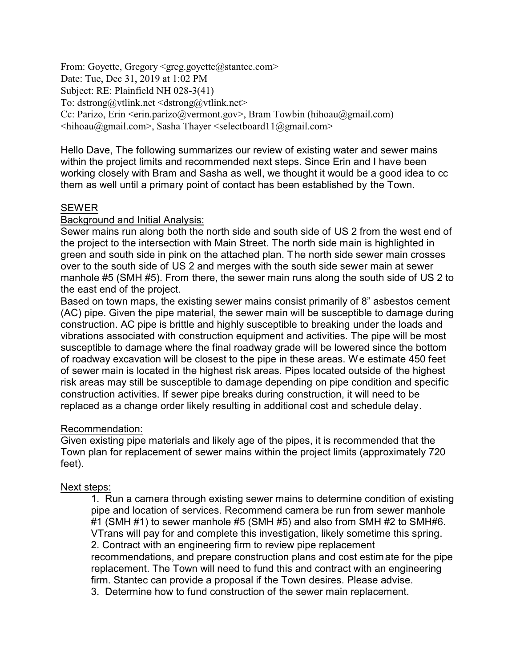From: Goyette, Gregory <greg.goyette@stantec.com> Date: Tue, Dec 31, 2019 at 1:02 PM Subject: RE: Plainfield NH 028-3(41) To: dstrong@vtlink.net  $\leq$ dstrong@vtlink.net  $>$ Cc: Parizo, Erin  $\le$ erin.parizo@vermont.gov>, Bram Towbin (hihoau@gmail.com)  $\leq$ hihoau@gmail.com>, Sasha Thayer  $\leq$ selectboard11@gmail.com>

Hello Dave, The following summarizes our review of existing water and sewer mains within the project limits and recommended next steps. Since Erin and I have been working closely with Bram and Sasha as well, we thought it would be a good idea to cc them as well until a primary point of contact has been established by the Town.

### SEWER

### Background and Initial Analysis:

Sewer mains run along both the north side and south side of US 2 from the west end of the project to the intersection with Main Street. The north side main is highlighted in green and south side in pink on the attached plan. The north side sewer main crosses over to the south side of US 2 and merges with the south side sewer main at sewer manhole #5 (SMH #5). From there, the sewer main runs along the south side of US 2 to the east end of the project.

Based on town maps, the existing sewer mains consist primarily of 8" asbestos cement (AC) pipe. Given the pipe material, the sewer main will be susceptible to damage during construction. AC pipe is brittle and highly susceptible to breaking under the loads and vibrations associated with construction equipment and activities. The pipe will be most susceptible to damage where the final roadway grade will be lowered since the bottom of roadway excavation will be closest to the pipe in these areas. We estimate 450 feet of sewer main is located in the highest risk areas. Pipes located outside of the highest risk areas may still be susceptible to damage depending on pipe condition and specific construction activities. If sewer pipe breaks during construction, it will need to be replaced as a change order likely resulting in additional cost and schedule delay.

### Recommendation:

Given existing pipe materials and likely age of the pipes, it is recommended that the Town plan for replacement of sewer mains within the project limits (approximately 720 feet).

### Next steps:

1. Run a camera through existing sewer mains to determine condition of existing pipe and location of services. Recommend camera be run from sewer manhole #1 (SMH #1) to sewer manhole #5 (SMH #5) and also from SMH #2 to SMH#6. VTrans will pay for and complete this investigation, likely sometime this spring. 2. Contract with an engineering firm to review pipe replacement recommendations, and prepare construction plans and cost estimate for the pipe replacement. The Town will need to fund this and contract with an engineering firm. Stantec can provide a proposal if the Town desires. Please advise. 3. Determine how to fund construction of the sewer main replacement.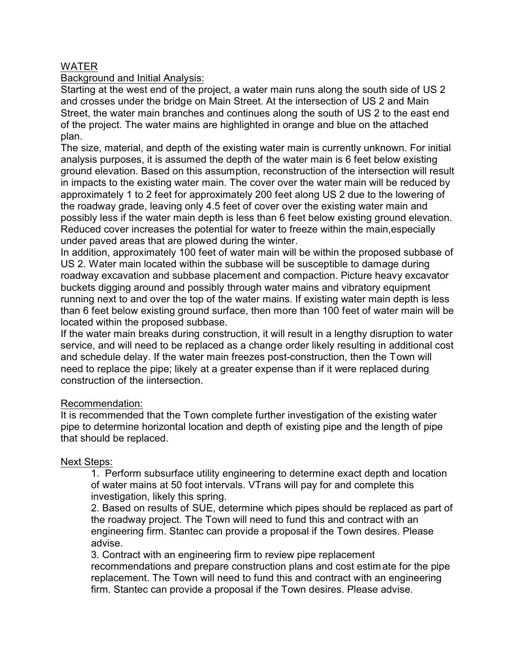# WATER

### Background and Initial Analysis:

Starting at the west end of the project, a water main runs along the south side of US 2 and crosses under the bridge on Main Street. At the intersection of US 2 and Main Street, the water main branches and continues along the south of US 2 to the east end of the project. The water mains are highlighted in orange and blue on the attached plan.

The size, material, and depth of the existing water main is currently unknown. For initial analysis purposes, it is assumed the depth of the water main is 6 feet below existing ground elevation. Based on this assumption, reconstruction of the intersection will result in impacts to the existing water main. The cover over the water main will be reduced by approximately 1 to 2 feet for approximately 200 feet along US 2 due to the lowering of the roadway grade, leaving only 4.5 feet of cover over the existing water main and possibly less if the water main depth is less than 6 feet below existing ground elevation. Reduced cover increases the potential for water to freeze within the main,especially under paved areas that are plowed during the winter.

In addition, approximately 100 feet of water main will be within the proposed subbase of US 2. Water main located within the subbase will be susceptible to damage during roadway excavation and subbase placement and compaction. Picture heavy excavator buckets digging around and possibly through water mains and vibratory equipment running next to and over the top of the water mains. If existing water main depth is less than 6 feet below existing ground surface, then more than 100 feet of water main will be located within the proposed subbase.

If the water main breaks during construction, it will result in a lengthy disruption to water service, and will need to be replaced as a change order likely resulting in additional cost and schedule delay. If the water main freezes post-construction, then the Town will need to replace the pipe; likely at a greater expense than if it were replaced during construction of the iintersection.

# Recommendation:

It is recommended that the Town complete further investigation of the existing water pipe to determine horizontal location and depth of existing pipe and the length of pipe that should be replaced.

### Next Steps:

1. Perform subsurface utility engineering to determine exact depth and location of water mains at 50 foot intervals. VTrans will pay for and complete this investigation, likely this spring.

2. Based on results of SUE, determine which pipes should be replaced as part of the roadway project. The Town will need to fund this and contract with an engineering firm. Stantec can provide a proposal if the Town desires. Please advise.

3. Contract with an engineering firm to review pipe replacement recommendations and prepare construction plans and cost estimate for the pipe replacement. The Town will need to fund this and contract with an engineering firm. Stantec can provide a proposal if the Town desires. Please advise.